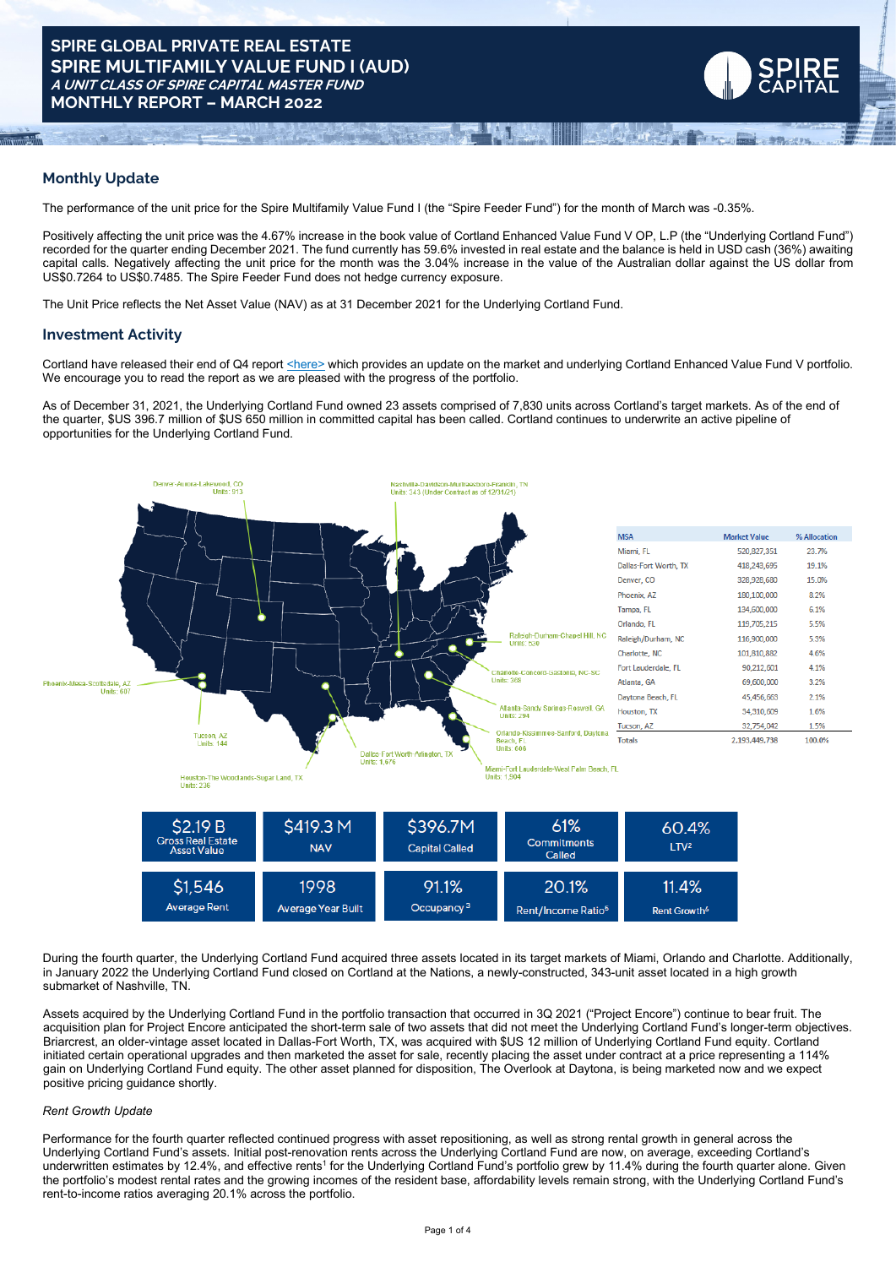# **Monthly Update**

The performance of the unit price for the Spire Multifamily Value Fund I (the "Spire Feeder Fund") for the month of March was -0.35%.

Positively affecting the unit price was the 4.67% increase in the book value of Cortland Enhanced Value Fund V OP, L.P (the "Underlying Cortland Fund") recorded for the quarter ending December 2021. The fund currently has 59.6% invested in real estate and the balance is held in USD cash (36%) awaiting capital calls. Negatively affecting the unit price for the month was the 3.04% increase in the value of the Australian dollar against the US dollar from US\$0.7264 to US\$0.7485. The Spire Feeder Fund does not hedge currency exposure.

The Unit Price reflects the Net Asset Value (NAV) as at 31 December 2021 for the Underlying Cortland Fund.

### **Investment Activity**

Cortland have released their end of Q4 report [<here>](https://www.dropbox.com/s/pnto0h7d2gg3r1k/CEVFV%2C%20L.P.%20-%204Q%202021%20Investor%20Update.pdf?dl=0) which provides an update on the market and underlying Cortland Enhanced Value Fund V portfolio. We encourage you to read the report as we are pleased with the progress of the portfolio.

As of December 31, 2021, the Underlying Cortland Fund owned 23 assets comprised of 7,830 units across Cortland's target markets. As of the end of the quarter, \$US 396.7 million of \$US 650 million in committed capital has been called. Cortland continues to underwrite an active pipeline of opportunities for the Underlying Cortland Fund.



| \$2.19 B<br><b>Gross Real Estate</b><br><b>Asset Value</b> | \$419.3 M<br><b>NAV</b>   | \$396.7M<br><b>Capital Called</b> | 61%<br><b>Commitments</b><br>Called | 60.4%<br>LTV <sub>2</sub> |
|------------------------------------------------------------|---------------------------|-----------------------------------|-------------------------------------|---------------------------|
| \$1,546                                                    | 1998                      | 91.1%                             | 20.1%                               | 11.4%                     |
| Average Rent                                               | <b>Average Year Built</b> | Occupancy <sup>3</sup>            | Rent/Income Ratio <sup>5</sup>      | Rent Growth <sup>6</sup>  |

During the fourth quarter, the Underlying Cortland Fund acquired three assets located in its target markets of Miami, Orlando and Charlotte. Additionally, in January 2022 the Underlying Cortland Fund closed on Cortland at the Nations, a newly-constructed, 343-unit asset located in a high growth submarket of Nashville, TN.

Assets acquired by the Underlying Cortland Fund in the portfolio transaction that occurred in 3Q 2021 ("Project Encore") continue to bear fruit. The acquisition plan for Project Encore anticipated the short-term sale of two assets that did not meet the Underlying Cortland Fund's longer-term objectives. Briarcrest, an older-vintage asset located in Dallas-Fort Worth, TX, was acquired with \$US 12 million of Underlying Cortland Fund equity. Cortland initiated certain operational upgrades and then marketed the asset for sale, recently placing the asset under contract at a price representing a 114% gain on Underlying Cortland Fund equity. The other asset planned for disposition, The Overlook at Daytona, is being marketed now and we expect positive pricing guidance shortly.

#### *Rent Growth Update*

Performance for the fourth quarter reflected continued progress with asset repositioning, as well as strong rental growth in general across the Underlying Cortland Fund's assets. Initial post-renovation rents across the Underlying Cortland Fund are now, on average, exceeding Cortland's underwritten estimates by 12.4%, and effective rents<sup>1</sup> for the Underlying Cortland Fund's portfolio grew by 11.4% during the fourth quarter alone. Given the portfolio's modest rental rates and the growing incomes of the resident base, affordability levels remain strong, with the Underlying Cortland Fund's rent-to-income ratios averaging 20.1% across the portfolio.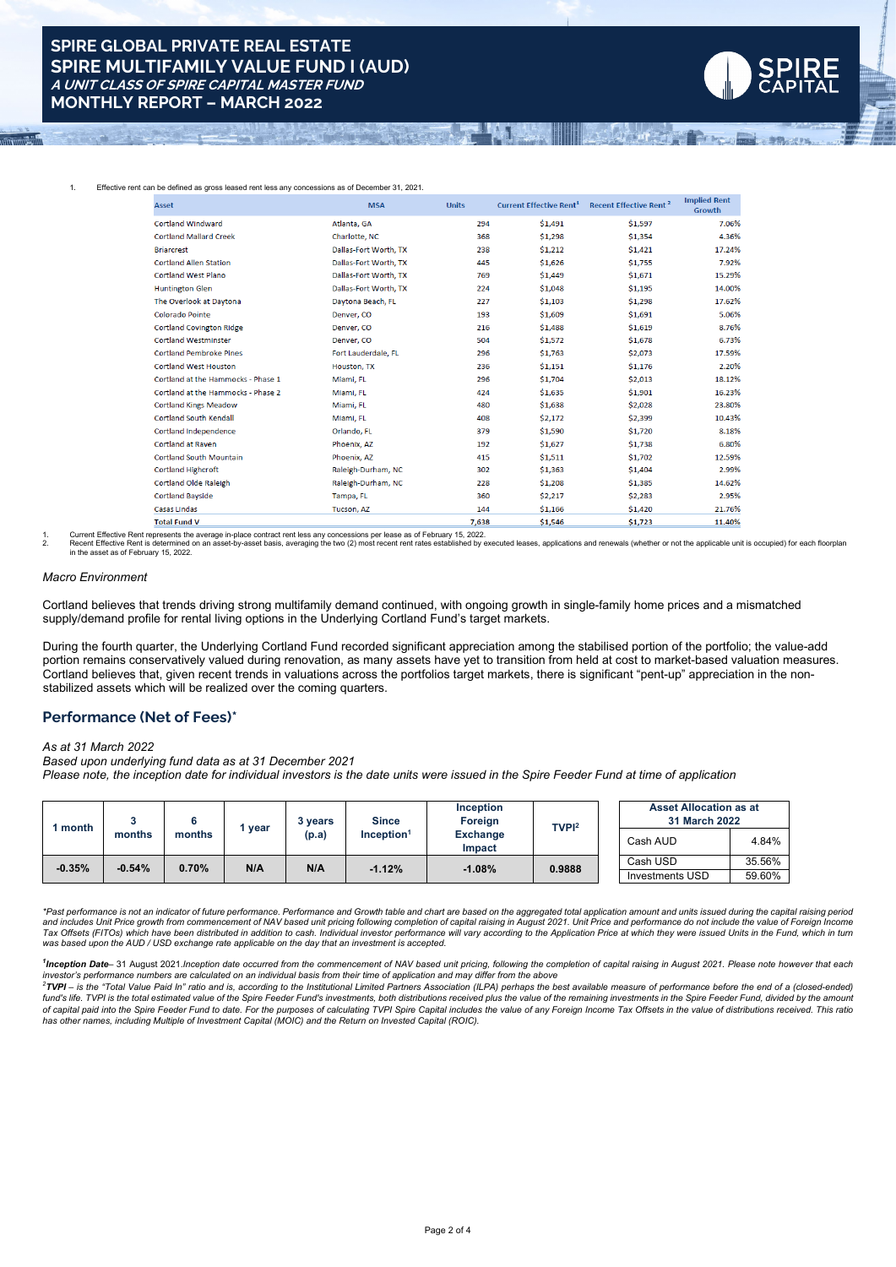

| <b>Asset</b>                       | <b>MSA</b>            | <b>Units</b> | <b>Current Effective Rent<sup>1</sup></b> | <b>Recent Effective Rent<sup>2</sup></b> | <b>Implied Rent</b><br>Growth |
|------------------------------------|-----------------------|--------------|-------------------------------------------|------------------------------------------|-------------------------------|
| <b>Cortland Windward</b>           | Atlanta, GA           | 294          | \$1,491                                   | \$1,597                                  | 7.06%                         |
| <b>Cortland Mallard Creek</b>      | Charlotte, NC         | 368          | \$1,298                                   | \$1,354                                  | 4.36%                         |
| <b>Briarcrest</b>                  | Dallas-Fort Worth, TX | 238          | \$1,212                                   | \$1,421                                  | 17.24%                        |
| <b>Cortland Allen Station</b>      | Dallas-Fort Worth, TX | 445          | \$1,626                                   | \$1,755                                  | 7.92%                         |
| <b>Cortland West Plano</b>         | Dallas-Fort Worth, TX | 769          | \$1,449                                   | \$1,671                                  | 15.29%                        |
| <b>Huntington Glen</b>             | Dallas-Fort Worth, TX | 224          | \$1,048                                   | \$1,195                                  | 14.00%                        |
| The Overlook at Daytona            | Daytona Beach, FL     | 227          | \$1.103                                   | \$1,298                                  | 17.62%                        |
| Colorado Pointe                    | Denver, CO            | 193          | \$1,609                                   | \$1.691                                  | 5.06%                         |
| <b>Cortland Covington Ridge</b>    | Denver, CO            | 216          | \$1,488                                   | \$1,619                                  | 8.76%                         |
| <b>Cortland Westminster</b>        | Denver, CO            | 504          | \$1,572                                   | \$1,678                                  | 6.73%                         |
| <b>Cortland Pembroke Pines</b>     | Fort Lauderdale, FL   | 296          | \$1,763                                   | \$2,073                                  | 17.59%                        |
| <b>Cortland West Houston</b>       | Houston, TX           | 236          | \$1,151                                   | \$1,176                                  | 2.20%                         |
| Cortland at the Hammocks - Phase 1 | Miami, FL             | 296          | \$1,704                                   | \$2.013                                  | 18.12%                        |
| Cortland at the Hammocks - Phase 2 | Miami, FL             | 424          | \$1,635                                   | \$1,901                                  | 16.23%                        |
| <b>Cortland Kings Meadow</b>       | Miami, FL             | 480          | \$1,638                                   | \$2,028                                  | 23.80%                        |
| <b>Cortland South Kendall</b>      | Miami, FL             | 408          | \$2,172                                   | \$2,399                                  | 10.43%                        |
| <b>Cortland Independence</b>       | Orlando, FL           | 379          | \$1,590                                   | \$1,720                                  | 8.18%                         |
| Cortland at Raven                  | Phoenix, AZ           | 192          | \$1,627                                   | \$1,738                                  | 6.80%                         |
| Cortland South Mountain            | Phoenix. AZ           | 415          | \$1,511                                   | \$1,702                                  | 12.59%                        |
| <b>Cortland Highcroft</b>          | Raleigh-Durham, NC    | 302          | \$1,363                                   | \$1,404                                  | 2.99%                         |
| Cortland Olde Raleigh              | Raleigh-Durham, NC    | 228          | \$1,208                                   | \$1,385                                  | 14.62%                        |
| <b>Cortland Bayside</b>            | Tampa, FL             | 360          | \$2,217                                   | \$2,283                                  | 2.95%                         |
| <b>Casas Lindas</b>                | Tucson, AZ            | 144          | \$1,166                                   | \$1,420                                  | 21.76%                        |
| <b>Total Fund V</b>                |                       | 7.638        | \$1.546                                   | \$1.723                                  | 11.40%                        |

1. Current Effective Rent represents the average in-place contract rent less any concessions per lease as of February 15, 2022. Passage applications and renewals (whether or not the applicable unit is occupied) for each fl in the asset as of February 15, 2022.

#### *Macro Environment*

Cortland believes that trends driving strong multifamily demand continued, with ongoing growth in single-family home prices and a mismatched supply/demand profile for rental living options in the Underlying Cortland Fund's target markets.

During the fourth quarter, the Underlying Cortland Fund recorded significant appreciation among the stabilised portion of the portfolio; the value-add portion remains conservatively valued during renovation, as many assets have yet to transition from held at cost to market-based valuation measures. Cortland believes that, given recent trends in valuations across the portfolios target markets, there is significant "pent-up" appreciation in the nonstabilized assets which will be realized over the coming quarters.

### **Performance (Net of Fees)\***

#### *As at 31 March 2022*

*Based upon underlying fund data as at 31 December 2021*

Please note, the inception date for individual investors is the date units were issued in the Spire Feeder Fund at time of application

|          | month<br>vear<br>months<br>months |                                    | 3 vears  | <b>Since</b>              | <b>Inception</b><br>Foreign | TVPI <sup>2</sup> | <b>Asset Allocation as at</b><br>31 March 2022 |        |
|----------|-----------------------------------|------------------------------------|----------|---------------------------|-----------------------------|-------------------|------------------------------------------------|--------|
|          |                                   | $Inc$ eption <sup>1</sup><br>(p.a) |          | <b>Exchange</b><br>Impact |                             | Cash AUD          | 4.84%                                          |        |
| $-0.35%$ | $-0.54%$                          | 0.70%<br>N/A<br>N/A                | $-1.08%$ | 0.9888                    | Cash USD                    | 35.56%            |                                                |        |
|          |                                   |                                    |          | $-1.12%$                  |                             |                   | Investments USD                                | 59.60% |

\*Past performance is not an indicator of future performance. Performance and Growth table and chart are based on the aggregated total application amount and units issued during the capital raising period\* and includes Unit Price growth from commencement of NAV based unit pricing following completion of capital raising in August 2021. Unit Price and performance do not include the value of Foreign Income Tax Offsets (FITOs) which have been distributed in addition to cash. Individual investor performance will vary according to the Application Price at which they were issued Units in the Fund, which in turning the attack of *was based upon the AUD / USD exchange rate applicable on the day that an investment is accepted.*

<sup>1</sup>Inception Date-31 August 2021.Inception date occurred from the commencement of NAV based unit pricing, following the completion of capital raising in August 2021. Please note however that each

investor's performance numbers are calculated on an individual basis from their time of application and may differ from the above<br><sup>2</sup>TVPI – is the "Total Value Paid In" ratio and is, according to the Institutional Limited fund's life. TVPI is the total estimated value of the Spire Feeder Fund's investments, both distributions received plus the value of the remaining investments in the Spire Feeder Fund, divided by the amount of capital paid into the Spire Feeder Fund to date. For the purposes of calculating TVPI Spire Capital includes the value of any Foreign Income Tax Offsets in the value of distributions received. This ratio *has other names, including Multiple of Investment Capital (MOIC) and the Return on Invested Capital (ROIC).*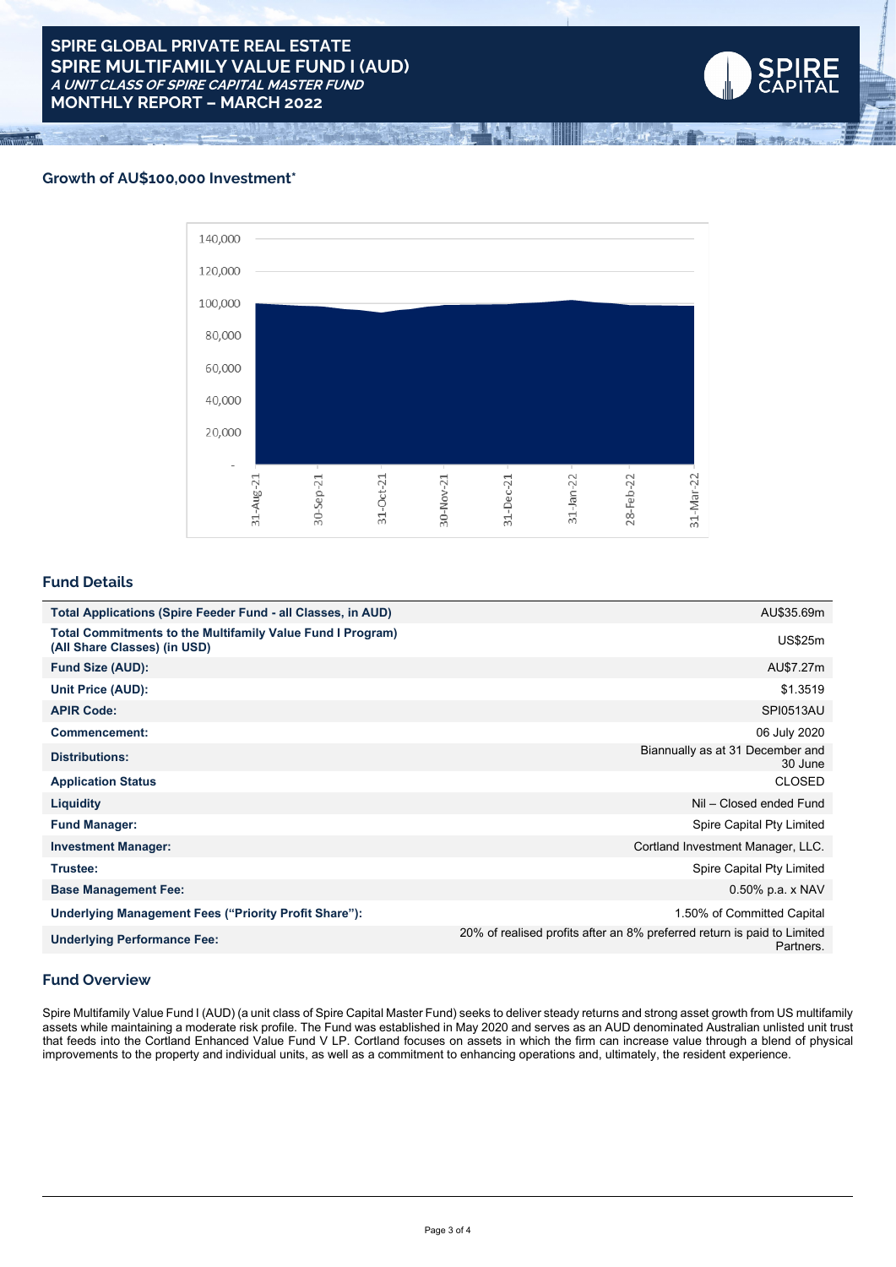# **Growth of AU\$100,000 Investment\***



**RE**<br>TAL

## **Fund Details**

| <b>Total Applications (Spire Feeder Fund - all Classes, in AUD)</b>                               | AU\$35.69m                                                                           |
|---------------------------------------------------------------------------------------------------|--------------------------------------------------------------------------------------|
| <b>Total Commitments to the Multifamily Value Fund I Program)</b><br>(All Share Classes) (in USD) | <b>US\$25m</b>                                                                       |
| <b>Fund Size (AUD):</b>                                                                           | AU\$7.27m                                                                            |
| Unit Price (AUD):                                                                                 | \$1.3519                                                                             |
| <b>APIR Code:</b>                                                                                 | <b>SPI0513AU</b>                                                                     |
| Commencement:                                                                                     | 06 July 2020                                                                         |
| <b>Distributions:</b>                                                                             | Biannually as at 31 December and<br>30 June                                          |
| <b>Application Status</b>                                                                         | <b>CLOSED</b>                                                                        |
| <b>Liquidity</b>                                                                                  | Nil - Closed ended Fund                                                              |
| <b>Fund Manager:</b>                                                                              | Spire Capital Pty Limited                                                            |
| <b>Investment Manager:</b>                                                                        | Cortland Investment Manager, LLC.                                                    |
| Trustee:                                                                                          | Spire Capital Pty Limited                                                            |
| <b>Base Management Fee:</b>                                                                       | $0.50\%$ p.a. x NAV                                                                  |
| Underlying Management Fees ("Priority Profit Share"):                                             | 1.50% of Committed Capital                                                           |
| <b>Underlying Performance Fee:</b>                                                                | 20% of realised profits after an 8% preferred return is paid to Limited<br>Partners. |

### **Fund Overview**

Spire Multifamily Value Fund I (AUD) (a unit class of Spire Capital Master Fund) seeks to deliver steady returns and strong asset growth from US multifamily assets while maintaining a moderate risk profile. The Fund was established in May 2020 and serves as an AUD denominated Australian unlisted unit trust that feeds into the Cortland Enhanced Value Fund V LP. Cortland focuses on assets in which the firm can increase value through a blend of physical improvements to the property and individual units, as well as a commitment to enhancing operations and, ultimately, the resident experience.